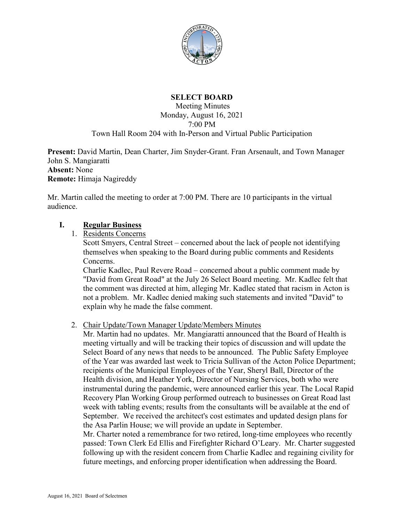

# **SELECT BOARD**

Meeting Minutes Monday, August 16, 2021 7:00 PM Town Hall Room 204 with In-Person and Virtual Public Participation

**Present:** David Martin, Dean Charter, Jim Snyder-Grant. Fran Arsenault, and Town Manager John S. Mangiaratti **Absent:** None **Remote:** Himaja Nagireddy

Mr. Martin called the meeting to order at 7:00 PM. There are 10 participants in the virtual audience.

### **I. Regular Business**

1. Residents Concerns

Scott Smyers, Central Street – concerned about the lack of people not identifying themselves when speaking to the Board during public comments and Residents Concerns.

Charlie Kadlec, Paul Revere Road – concerned about a public comment made by "David from Great Road" at the July 26 Select Board meeting. Mr. Kadlec felt that the comment was directed at him, alleging Mr. Kadlec stated that racism in Acton is not a problem. Mr. Kadlec denied making such statements and invited "David" to explain why he made the false comment.

2. Chair Update/Town Manager Update/Members Minutes

Mr. Martin had no updates. Mr. Mangiaratti announced that the Board of Health is meeting virtually and will be tracking their topics of discussion and will update the Select Board of any news that needs to be announced. The Public Safety Employee of the Year was awarded last week to Tricia Sullivan of the Acton Police Department; recipients of the Municipal Employees of the Year, Sheryl Ball, Director of the Health division, and Heather York, Director of Nursing Services, both who were instrumental during the pandemic, were announced earlier this year. The Local Rapid Recovery Plan Working Group performed outreach to businesses on Great Road last week with tabling events; results from the consultants will be available at the end of September. We received the architect's cost estimates and updated design plans for the Asa Parlin House; we will provide an update in September.

Mr. Charter noted a remembrance for two retired, long-time employees who recently passed: Town Clerk Ed Ellis and Firefighter Richard O'Leary. Mr. Charter suggested following up with the resident concern from Charlie Kadlec and regaining civility for future meetings, and enforcing proper identification when addressing the Board.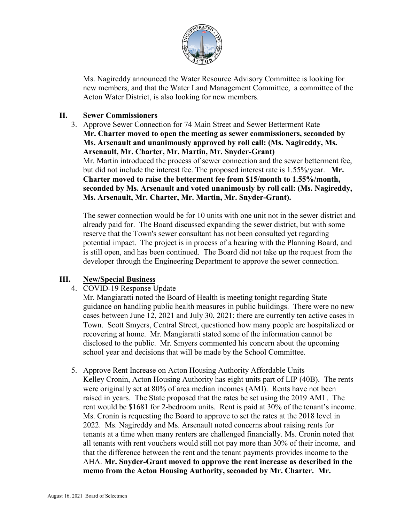

Ms. Nagireddy announced the Water Resource Advisory Committee is looking for new members, and that the Water Land Management Committee, a committee of the Acton Water District, is also looking for new members.

## **II. Sewer Commissioners**

3. Approve Sewer Connection for 74 Main Street and Sewer Betterment Rate **Mr. Charter moved to open the meeting as sewer commissioners, seconded by Ms. Arsenault and unanimously approved by roll call: (Ms. Nagireddy, Ms. Arsenault, Mr. Charter, Mr. Martin, Mr. Snyder-Grant)** Mr. Martin introduced the process of sewer connection and the sewer betterment fee, but did not include the interest fee. The proposed interest rate is 1.55%/year. **Mr. Charter moved to raise the betterment fee from \$15/month to 1.55%/month, seconded by Ms. Arsenault and voted unanimously by roll call: (Ms. Nagireddy, Ms. Arsenault, Mr. Charter, Mr. Martin, Mr. Snyder-Grant).**

The sewer connection would be for 10 units with one unit not in the sewer district and already paid for. The Board discussed expanding the sewer district, but with some reserve that the Town's sewer consultant has not been consulted yet regarding potential impact. The project is in process of a hearing with the Planning Board, and is still open, and has been continued. The Board did not take up the request from the developer through the Engineering Department to approve the sewer connection.

#### **III. New/Special Business**

4. COVID-19 Response Update

Mr. Mangiaratti noted the Board of Health is meeting tonight regarding State guidance on handling public health measures in public buildings. There were no new cases between June 12, 2021 and July 30, 2021; there are currently ten active cases in Town. Scott Smyers, Central Street, questioned how many people are hospitalized or recovering at home. Mr. Mangiaratti stated some of the information cannot be disclosed to the public. Mr. Smyers commented his concern about the upcoming school year and decisions that will be made by the School Committee.

#### 5. Approve Rent Increase on Acton Housing Authority Affordable Units

Kelley Cronin, Acton Housing Authority has eight units part of LIP (40B). The rents were originally set at 80% of area median incomes (AMI). Rents have not been raised in years. The State proposed that the rates be set using the 2019 AMI . The rent would be \$1681 for 2-bedroom units. Rent is paid at 30% of the tenant's income. Ms. Cronin is requesting the Board to approve to set the rates at the 2018 level in 2022. Ms. Nagireddy and Ms. Arsenault noted concerns about raising rents for tenants at a time when many renters are challenged financially. Ms. Cronin noted that all tenants with rent vouchers would still not pay more than 30% of their income, and that the difference between the rent and the tenant payments provides income to the AHA. **Mr. Snyder-Grant moved to approve the rent increase as described in the memo from the Acton Housing Authority, seconded by Mr. Charter. Mr.**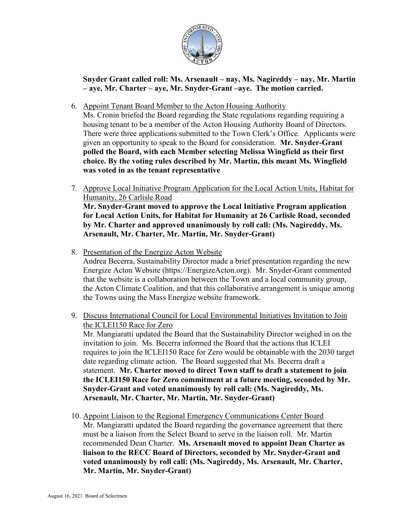

**Snyder Grant called roll: Ms. Arsenault – nay, Ms. Nagireddy – nay, Mr. Martin – aye, Mr. Charter – aye, Mr. Snyder-Grant –aye. The motion carried.**

6. Appoint Tenant Board Member to the Acton Housing Authority

Ms. Cronin briefed the Board regarding the State regulations regarding requiring a housing tenant to be a member of the Acton Housing Authority Board of Directors. There were three applications submitted to the Town Clerk's Office. Applicants were given an opportunity to speak to the Board for consideration. **Mr. Snyder-Grant polled the Board, with each Member selecting Melissa Wingfield as their first choice. By the voting rules described by Mr. Martin, this meant Ms. Wingfield was voted in as the tenant representative** 

- 7. Approve Local Initiative Program Application for the Local Action Units, Habitat for Humanity, 26 Carlisle Road **Mr. Snyder-Grant moved to approve the Local Initiative Program application for Local Action Units, for Habitat for Humanity at 26 Carlisle Road, seconded by Mr. Charter and approved unanimously by roll call: (Ms. Nagireddy, Ms. Arsenault, Mr. Charter, Mr. Martin, Mr. Snyder-Grant)**
- 8. Presentation of the Energize Acton Website Andrea Becerra, Sustainability Director made a brief presentation regarding the new Energize Acton Website (https://EnergizeActon.org). Mr. Snyder-Grant commented that the website is a collaboration between the Town and a local community group, the Acton Climate Coalition, and that this collaborative arrangement is unique among the Towns using the Mass Energize website framework.
- 9. Discuss International Council for Local Environmental Initiatives Invitation to Join the ICLEI150 Race for Zero Mr. Mangiaratti updated the Board that the Sustainability Director weighed in on the invitation to join. Ms. Becerra informed the Board that the actions that ICLEI requires to join the ICLEI150 Race for Zero would be obtainable with the 2030 target date regarding climate action. The Board suggested that Ms. Becerra draft a statement. **Mr. Charter moved to direct Town staff to draft a statement to join the ICLEI150 Race for Zero commitment at a future meeting, seconded by Mr. Snyder-Grant and voted unanimously by roll call: (Ms. Nagireddy, Ms. Arsenault, Mr. Charter, Mr. Martin, Mr. Snyder-Grant)**
- 10. Appoint Liaison to the Regional Emergency Communications Center Board Mr. Mangiaratti updated the Board regarding the governance agreement that there must be a liaison from the Select Board to serve in the liaison roll. Mr. Martin recommended Dean Charter. **Ms. Arsenault moved to appoint Dean Charter as liaison to the RECC Board of Directors, seconded by Mr. Snyder-Grant and voted unanimously by roll call: (Ms. Nagireddy, Ms. Arsenault, Mr. Charter, Mr. Martin, Mr. Snyder-Grant)**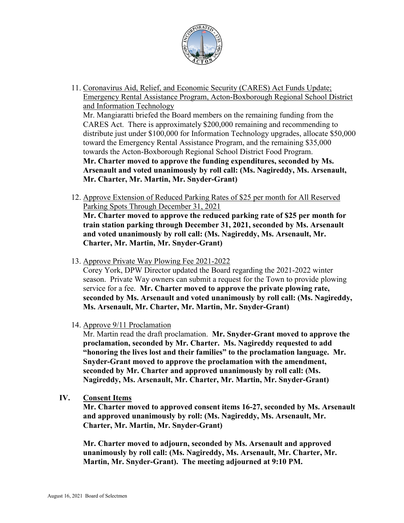

- 11. Coronavirus Aid, Relief, and Economic Security (CARES) Act Funds Update; Emergency Rental Assistance Program, Acton-Boxborough Regional School District and Information Technology Mr. Mangiaratti briefed the Board members on the remaining funding from the CARES Act. There is approximately \$200,000 remaining and recommending to distribute just under \$100,000 for Information Technology upgrades, allocate \$50,000 toward the Emergency Rental Assistance Program, and the remaining \$35,000 towards the Acton-Boxborough Regional School District Food Program. **Mr. Charter moved to approve the funding expenditures, seconded by Ms. Arsenault and voted unanimously by roll call: (Ms. Nagireddy, Ms. Arsenault, Mr. Charter, Mr. Martin, Mr. Snyder-Grant)**
- 12. Approve Extension of Reduced Parking Rates of \$25 per month for All Reserved Parking Spots Through December 31, 2021 **Mr. Charter moved to approve the reduced parking rate of \$25 per month for train station parking through December 31, 2021, seconded by Ms. Arsenault and voted unanimously by roll call: (Ms. Nagireddy, Ms. Arsenault, Mr. Charter, Mr. Martin, Mr. Snyder-Grant)**
- 13. Approve Private Way Plowing Fee 2021-2022

Corey York, DPW Director updated the Board regarding the 2021-2022 winter season. Private Way owners can submit a request for the Town to provide plowing service for a fee. **Mr. Charter moved to approve the private plowing rate, seconded by Ms. Arsenault and voted unanimously by roll call: (Ms. Nagireddy, Ms. Arsenault, Mr. Charter, Mr. Martin, Mr. Snyder-Grant)**

14. Approve 9/11 Proclamation

Mr. Martin read the draft proclamation. **Mr. Snyder-Grant moved to approve the proclamation, seconded by Mr. Charter. Ms. Nagireddy requested to add "honoring the lives lost and their families" to the proclamation language. Mr. Snyder-Grant moved to approve the proclamation with the amendment, seconded by Mr. Charter and approved unanimously by roll call: (Ms. Nagireddy, Ms. Arsenault, Mr. Charter, Mr. Martin, Mr. Snyder-Grant)**

**IV. Consent Items** 

**Mr. Charter moved to approved consent items 16-27, seconded by Ms. Arsenault and approved unanimously by roll: (Ms. Nagireddy, Ms. Arsenault, Mr. Charter, Mr. Martin, Mr. Snyder-Grant)**

**Mr. Charter moved to adjourn, seconded by Ms. Arsenault and approved unanimously by roll call: (Ms. Nagireddy, Ms. Arsenault, Mr. Charter, Mr. Martin, Mr. Snyder-Grant). The meeting adjourned at 9:10 PM.**